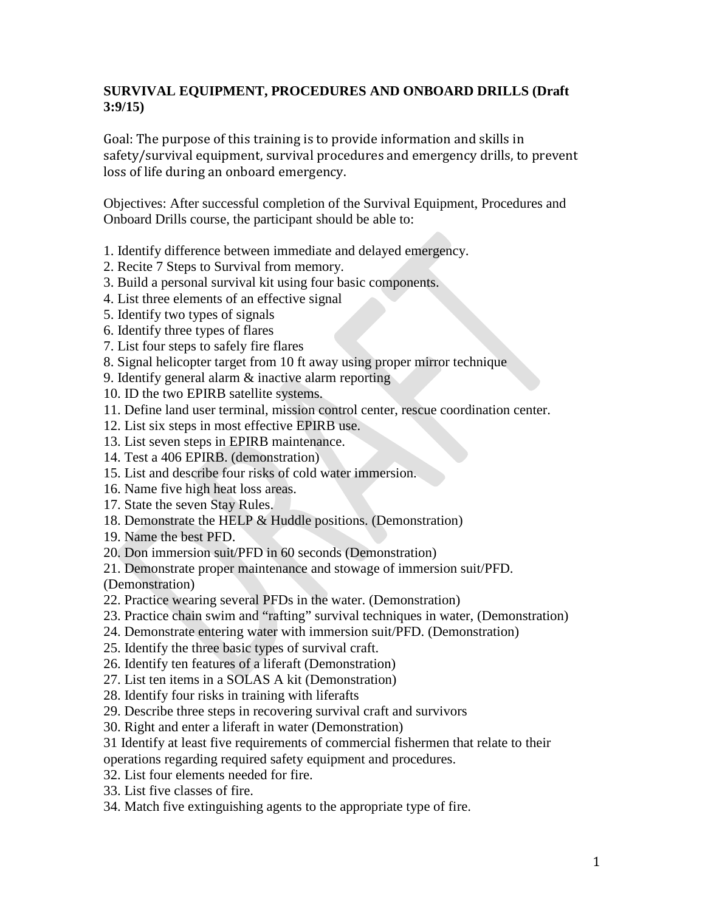## **SURVIVAL EQUIPMENT, PROCEDURES AND ONBOARD DRILLS (Draft 3:9/15)**

Goal: The purpose of this training is to provide information and skills in safety/survival equipment, survival procedures and emergency drills, to prevent loss of life during an onboard emergency.

Objectives: After successful completion of the Survival Equipment, Procedures and Onboard Drills course, the participant should be able to:

- 1. Identify difference between immediate and delayed emergency.
- 2. Recite 7 Steps to Survival from memory.
- 3. Build a personal survival kit using four basic components.
- 4. List three elements of an effective signal
- 5. Identify two types of signals
- 6. Identify three types of flares
- 7. List four steps to safely fire flares
- 8. Signal helicopter target from 10 ft away using proper mirror technique
- 9. Identify general alarm & inactive alarm reporting
- 10. ID the two EPIRB satellite systems.
- 11. Define land user terminal, mission control center, rescue coordination center.
- 12. List six steps in most effective EPIRB use.
- 13. List seven steps in EPIRB maintenance.
- 14. Test a 406 EPIRB. (demonstration)
- 15. List and describe four risks of cold water immersion.
- 16. Name five high heat loss areas.
- 17. State the seven Stay Rules.
- 18. Demonstrate the HELP & Huddle positions. (Demonstration)
- 19. Name the best PFD.
- 20. Don immersion suit/PFD in 60 seconds (Demonstration)
- 21. Demonstrate proper maintenance and stowage of immersion suit/PFD.
- (Demonstration)
- 22. Practice wearing several PFDs in the water. (Demonstration)
- 23. Practice chain swim and "rafting" survival techniques in water, (Demonstration)
- 24. Demonstrate entering water with immersion suit/PFD. (Demonstration)
- 25. Identify the three basic types of survival craft.
- 26. Identify ten features of a liferaft (Demonstration)
- 27. List ten items in a SOLAS A kit (Demonstration)
- 28. Identify four risks in training with liferafts
- 29. Describe three steps in recovering survival craft and survivors
- 30. Right and enter a liferaft in water (Demonstration)
- 31 Identify at least five requirements of commercial fishermen that relate to their
- operations regarding required safety equipment and procedures.
- 32. List four elements needed for fire.
- 33. List five classes of fire.
- 34. Match five extinguishing agents to the appropriate type of fire.